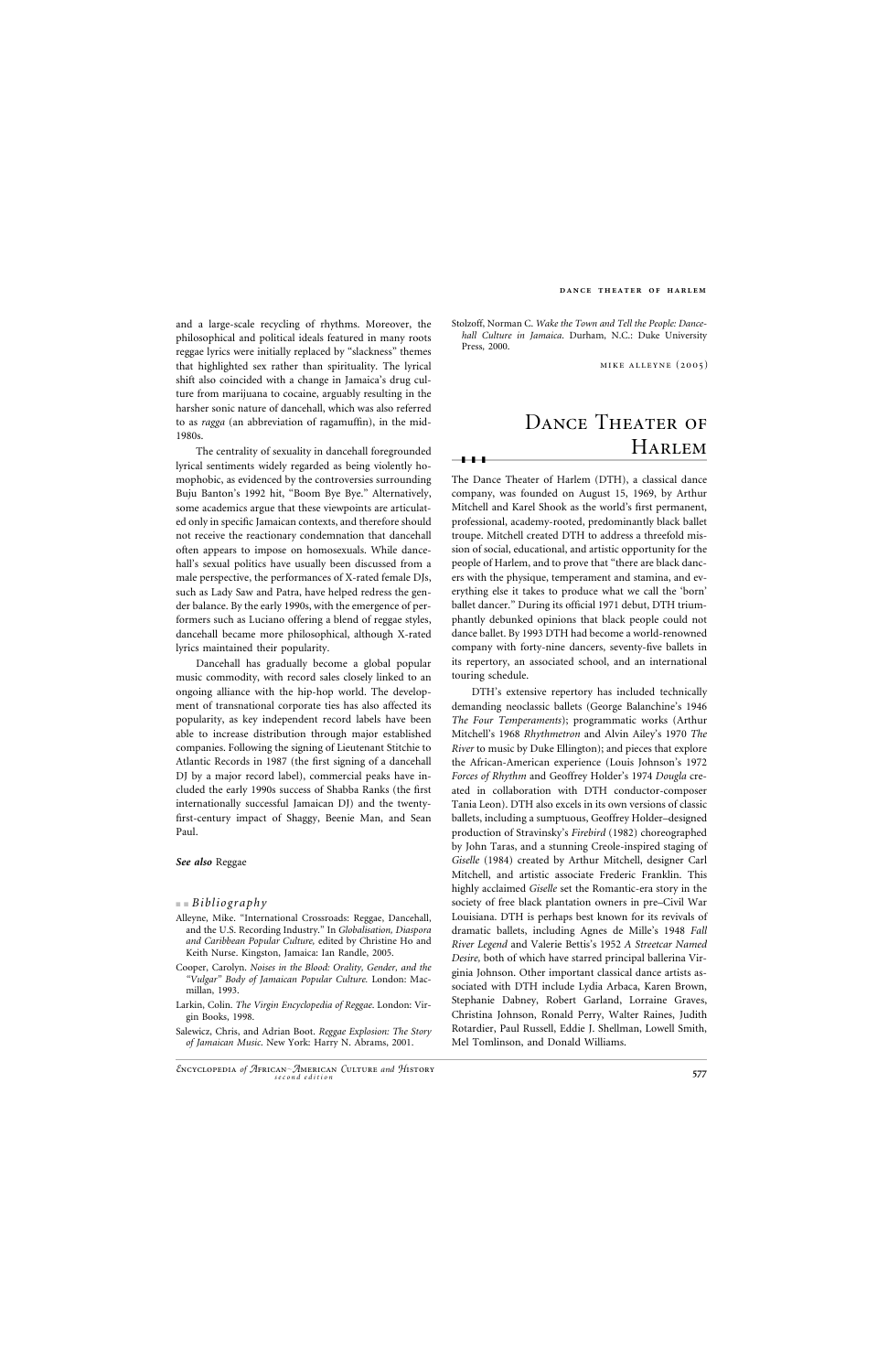and a large-scale recycling of rhythms. Moreover, the philosophical and political ideals featured in many roots reggae lyrics were initially replaced by "slackness" themes that highlighted sex rather than spirituality. The lyrical shift also coincided with a change in Jamaica's drug culture from marijuana to cocaine, arguably resulting in the harsher sonic nature of dancehall, which was also referred to as *ragga* (an abbreviation of ragamuffin), in the mid-1980s.

The centrality of sexuality in dancehall foregrounded lyrical sentiments widely regarded as being violently homophobic, as evidenced by the controversies surrounding Buju Banton's 1992 hit, "Boom Bye Bye." Alternatively, some academics argue that these viewpoints are articulated only in specific Jamaican contexts, and therefore should not receive the reactionary condemnation that dancehall often appears to impose on homosexuals. While dancehall's sexual politics have usually been discussed from a male perspective, the performances of X-rated female DJs, such as Lady Saw and Patra, have helped redress the gender balance. By the early 1990s, with the emergence of performers such as Luciano offering a blend of reggae styles, dancehall became more philosophical, although X-rated lyrics maintained their popularity.

# DANCE THEATER OF Harlem

Dancehall has gradually become a global popular music commodity, with record sales closely linked to an ongoing alliance with the hip-hop world. The development of transnational corporate ties has also affected its popularity, as key independent record labels have been able to increase distribution through major established companies. Following the signing of Lieutenant Stitchie to Atlantic Records in 1987 (the first signing of a dancehall DJ by a major record label), commercial peaks have included the early 1990s success of Shabba Ranks (the first internationally successful Jamaican DJ) and the twentyfirst-century impact of Shaggy, Beenie Man, and Sean Paul.

### *See also* Reggae

## ■ ■ *Bibliography*

- Alleyne, Mike. "International Crossroads: Reggae, Dancehall, and the U.S. Recording Industry." In *Globalisation, Diaspora and Caribbean Popular Culture,* edited by Christine Ho and Keith Nurse. Kingston, Jamaica: Ian Randle, 2005.
- Cooper, Carolyn. *Noises in the Blood: Orality, Gender, and the "Vulgar" Body of Jamaican Popular Culture.* London: Macmillan, 1993.
- Larkin, Colin. *The Virgin Encyclopedia of Reggae*. London: Vir-

gin Books, 1998.

Salewicz, Chris, and Adrian Boot. *Reggae Explosion: The Story of Jamaican Music*. New York: Harry N. Abrams, 2001.

Stolzoff, Norman C. *Wake the Town and Tell the People: Dancehall Culture in Jamaica*. Durham, N.C.: Duke University Press, 2000.

mike alleyne (2005)

❚❚❚

The Dance Theater of Harlem (DTH), a classical dance company, was founded on August 15, 1969, by Arthur Mitchell and Karel Shook as the world's first permanent, professional, academy-rooted, predominantly black ballet troupe. Mitchell created DTH to address a threefold mission of social, educational, and artistic opportunity for the people of Harlem, and to prove that "there are black dancers with the physique, temperament and stamina, and everything else it takes to produce what we call the 'born' ballet dancer." During its official 1971 debut, DTH triumphantly debunked opinions that black people could not dance ballet. By 1993 DTH had become a world-renowned company with forty-nine dancers, seventy-five ballets in its repertory, an associated school, and an international touring schedule.

DTH's extensive repertory has included technically demanding neoclassic ballets (George Balanchine's 1946 *The Four Temperaments*); programmatic works (Arthur Mitchell's 1968 *Rhythmetron* and Alvin Ailey's 1970 *The River* to music by Duke Ellington); and pieces that explore the African-American experience (Louis Johnson's 1972 *Forces of Rhythm* and Geoffrey Holder's 1974 *Dougla* created in collaboration with DTH conductor-composer Tania Leon). DTH also excels in its own versions of classic ballets, including a sumptuous, Geoffrey Holder–designed production of Stravinsky's *Firebird* (1982) choreographed by John Taras, and a stunning Creole-inspired staging of *Giselle* (1984) created by Arthur Mitchell, designer Carl Mitchell, and artistic associate Frederic Franklin. This highly acclaimed *Giselle* set the Romantic-era story in the society of free black plantation owners in pre–Civil War Louisiana. DTH is perhaps best known for its revivals of dramatic ballets, including Agnes de Mille's 1948 *Fall River Legend* and Valerie Bettis's 1952 *A Streetcar Named Desire,* both of which have starred principal ballerina Virginia Johnson. Other important classical dance artists associated with DTH include Lydia Arbaca, Karen Brown, Stephanie Dabney, Robert Garland, Lorraine Graves,

Christina Johnson, Ronald Perry, Walter Raines, Judith Rotardier, Paul Russell, Eddie J. Shellman, Lowell Smith, Mel Tomlinson, and Donald Williams.

### **dance theater of harlem**

*<sup>E</sup>*ncyclopedia *of <sup>A</sup>*frican*A*merican *<sup>C</sup>*ulture *and <sup>H</sup>*istory **<sup>577</sup>** *second edition*